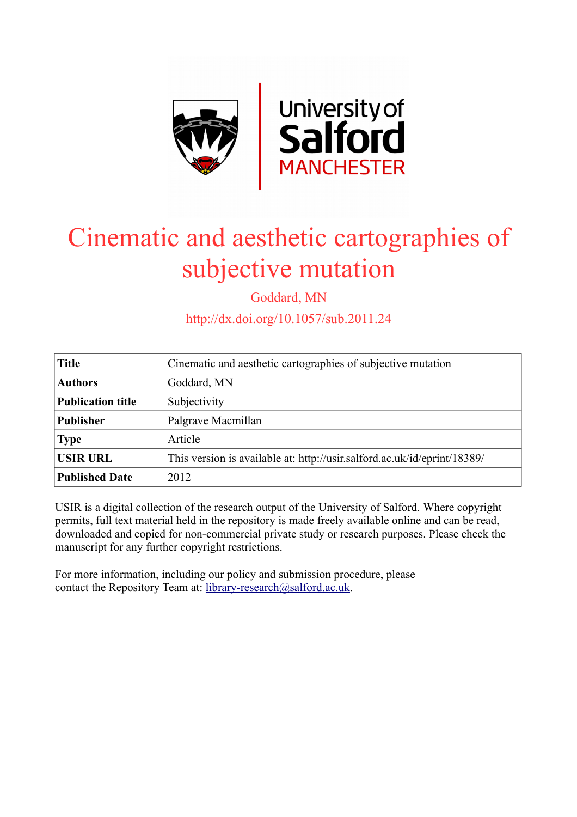

# Cinematic and aesthetic cartographies of subjective mutation

Goddard, MN

http://dx.doi.org/10.1057/sub.2011.24

| <b>Title</b>             | Cinematic and aesthetic cartographies of subjective mutation             |
|--------------------------|--------------------------------------------------------------------------|
| <b>Authors</b>           | Goddard, MN                                                              |
| <b>Publication title</b> | Subjectivity                                                             |
| <b>Publisher</b>         | Palgrave Macmillan                                                       |
| <b>Type</b>              | Article                                                                  |
| <b>USIR URL</b>          | This version is available at: http://usir.salford.ac.uk/id/eprint/18389/ |
| <b>Published Date</b>    | 2012                                                                     |

USIR is a digital collection of the research output of the University of Salford. Where copyright permits, full text material held in the repository is made freely available online and can be read, downloaded and copied for non-commercial private study or research purposes. Please check the manuscript for any further copyright restrictions.

For more information, including our policy and submission procedure, please contact the Repository Team at: [library-research@salford.ac.uk.](mailto:library-research@salford.ac.uk)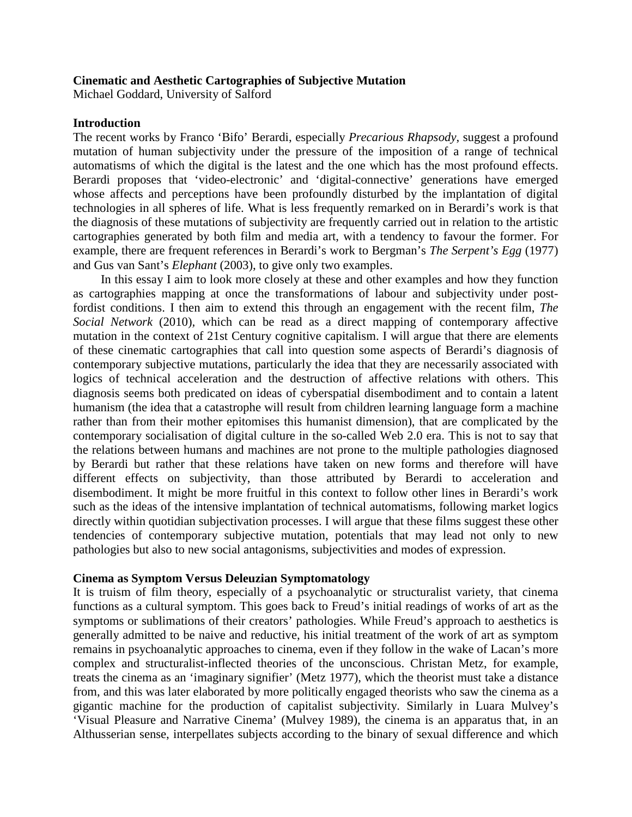#### **Cinematic and Aesthetic Cartographies of Subjective Mutation**

Michael Goddard, University of Salford

#### **Introduction**

The recent works by Franco 'Bifo' Berardi, especially *Precarious Rhapsody*, suggest a profound mutation of human subjectivity under the pressure of the imposition of a range of technical automatisms of which the digital is the latest and the one which has the most profound effects. Berardi proposes that 'video-electronic' and 'digital-connective' generations have emerged whose affects and perceptions have been profoundly disturbed by the implantation of digital technologies in all spheres of life. What is less frequently remarked on in Berardi's work is that the diagnosis of these mutations of subjectivity are frequently carried out in relation to the artistic cartographies generated by both film and media art, with a tendency to favour the former. For example, there are frequent references in Berardi's work to Bergman's *The Serpent's Egg* (1977) and Gus van Sant's *Elephant* (2003), to give only two examples.

In this essay I aim to look more closely at these and other examples and how they function as cartographies mapping at once the transformations of labour and subjectivity under postfordist conditions. I then aim to extend this through an engagement with the recent film, *The Social Network* (2010)*,* which can be read as a direct mapping of contemporary affective mutation in the context of 21st Century cognitive capitalism. I will argue that there are elements of these cinematic cartographies that call into question some aspects of Berardi's diagnosis of contemporary subjective mutations, particularly the idea that they are necessarily associated with logics of technical acceleration and the destruction of affective relations with others. This diagnosis seems both predicated on ideas of cyberspatial disembodiment and to contain a latent humanism (the idea that a catastrophe will result from children learning language form a machine rather than from their mother epitomises this humanist dimension), that are complicated by the contemporary socialisation of digital culture in the so-called Web 2.0 era. This is not to say that the relations between humans and machines are not prone to the multiple pathologies diagnosed by Berardi but rather that these relations have taken on new forms and therefore will have different effects on subjectivity, than those attributed by Berardi to acceleration and disembodiment. It might be more fruitful in this context to follow other lines in Berardi's work such as the ideas of the intensive implantation of technical automatisms, following market logics directly within quotidian subjectivation processes. I will argue that these films suggest these other tendencies of contemporary subjective mutation, potentials that may lead not only to new pathologies but also to new social antagonisms, subjectivities and modes of expression.

## **Cinema as Symptom Versus Deleuzian Symptomatology**

It is truism of film theory, especially of a psychoanalytic or structuralist variety, that cinema functions as a cultural symptom. This goes back to Freud's initial readings of works of art as the symptoms or sublimations of their creators' pathologies. While Freud's approach to aesthetics is generally admitted to be naive and reductive, his initial treatment of the work of art as symptom remains in psychoanalytic approaches to cinema, even if they follow in the wake of Lacan's more complex and structuralist-inflected theories of the unconscious. Christan Metz, for example, treats the cinema as an 'imaginary signifier' (Metz 1977), which the theorist must take a distance from, and this was later elaborated by more politically engaged theorists who saw the cinema as a gigantic machine for the production of capitalist subjectivity. Similarly in Luara Mulvey's 'Visual Pleasure and Narrative Cinema' (Mulvey 1989), the cinema is an apparatus that, in an Althusserian sense, interpellates subjects according to the binary of sexual difference and which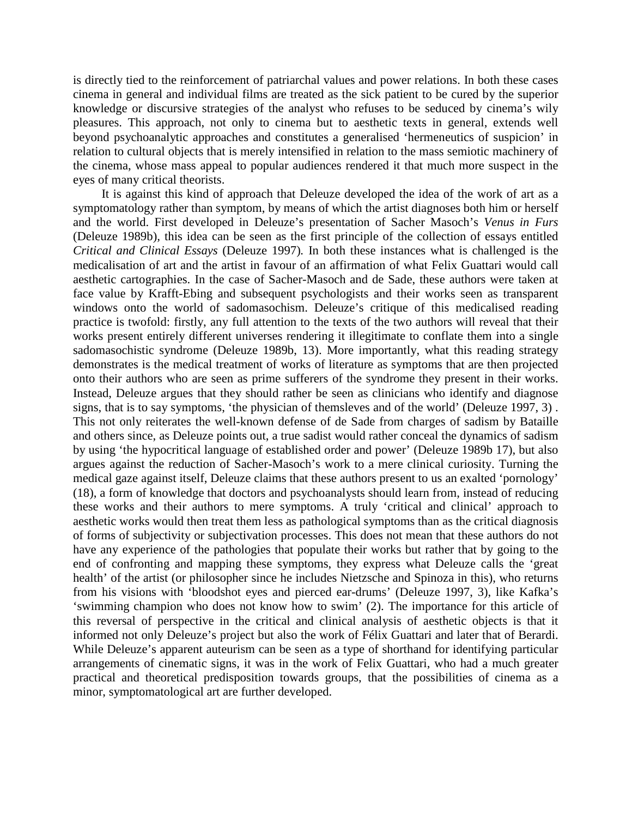is directly tied to the reinforcement of patriarchal values and power relations. In both these cases cinema in general and individual films are treated as the sick patient to be cured by the superior knowledge or discursive strategies of the analyst who refuses to be seduced by cinema's wily pleasures. This approach, not only to cinema but to aesthetic texts in general, extends well beyond psychoanalytic approaches and constitutes a generalised 'hermeneutics of suspicion' in relation to cultural objects that is merely intensified in relation to the mass semiotic machinery of the cinema, whose mass appeal to popular audiences rendered it that much more suspect in the eyes of many critical theorists.

It is against this kind of approach that Deleuze developed the idea of the work of art as a symptomatology rather than symptom, by means of which the artist diagnoses both him or herself and the world. First developed in Deleuze's presentation of Sacher Masoch's *Venus in Furs*  (Deleuze 1989b)*,* this idea can be seen as the first principle of the collection of essays entitled *Critical and Clinical Essays* (Deleuze 1997)*.* In both these instances what is challenged is the medicalisation of art and the artist in favour of an affirmation of what Felix Guattari would call aesthetic cartographies. In the case of Sacher-Masoch and de Sade, these authors were taken at face value by Krafft-Ebing and subsequent psychologists and their works seen as transparent windows onto the world of sadomasochism. Deleuze's critique of this medicalised reading practice is twofold: firstly, any full attention to the texts of the two authors will reveal that their works present entirely different universes rendering it illegitimate to conflate them into a single sadomasochistic syndrome (Deleuze 1989b, 13). More importantly, what this reading strategy demonstrates is the medical treatment of works of literature as symptoms that are then projected onto their authors who are seen as prime sufferers of the syndrome they present in their works. Instead, Deleuze argues that they should rather be seen as clinicians who identify and diagnose signs, that is to say symptoms, 'the physician of themsleves and of the world' (Deleuze 1997, 3) . This not only reiterates the well-known defense of de Sade from charges of sadism by Bataille and others since, as Deleuze points out, a true sadist would rather conceal the dynamics of sadism by using 'the hypocritical language of established order and power' (Deleuze 1989b 17), but also argues against the reduction of Sacher-Masoch's work to a mere clinical curiosity. Turning the medical gaze against itself, Deleuze claims that these authors present to us an exalted 'pornology' (18), a form of knowledge that doctors and psychoanalysts should learn from, instead of reducing these works and their authors to mere symptoms. A truly 'critical and clinical' approach to aesthetic works would then treat them less as pathological symptoms than as the critical diagnosis of forms of subjectivity or subjectivation processes. This does not mean that these authors do not have any experience of the pathologies that populate their works but rather that by going to the end of confronting and mapping these symptoms, they express what Deleuze calls the 'great health' of the artist (or philosopher since he includes Nietzsche and Spinoza in this), who returns from his visions with 'bloodshot eyes and pierced ear-drums' (Deleuze 1997, 3), like Kafka's 'swimming champion who does not know how to swim' (2). The importance for this article of this reversal of perspective in the critical and clinical analysis of aesthetic objects is that it informed not only Deleuze's project but also the work of Félix Guattari and later that of Berardi. While Deleuze's apparent auteurism can be seen as a type of shorthand for identifying particular arrangements of cinematic signs, it was in the work of Felix Guattari, who had a much greater practical and theoretical predisposition towards groups, that the possibilities of cinema as a minor, symptomatological art are further developed.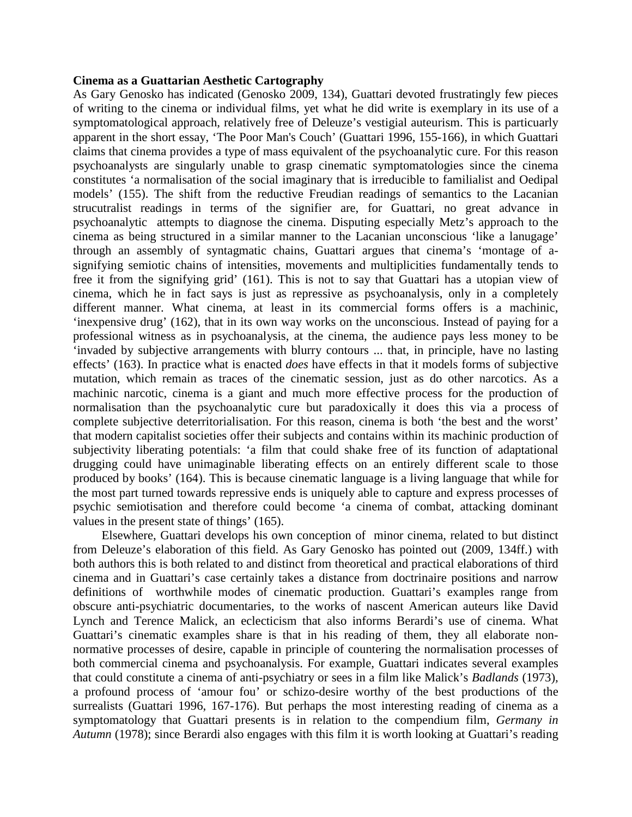#### **Cinema as a Guattarian Aesthetic Cartography**

As Gary Genosko has indicated (Genosko 2009, 134), Guattari devoted frustratingly few pieces of writing to the cinema or individual films, yet what he did write is exemplary in its use of a symptomatological approach, relatively free of Deleuze's vestigial auteurism. This is particuarly apparent in the short essay, 'The Poor Man's Couch' (Guattari 1996, 155-166), in which Guattari claims that cinema provides a type of mass equivalent of the psychoanalytic cure. For this reason psychoanalysts are singularly unable to grasp cinematic symptomatologies since the cinema constitutes 'a normalisation of the social imaginary that is irreducible to familialist and Oedipal models' (155). The shift from the reductive Freudian readings of semantics to the Lacanian strucutralist readings in terms of the signifier are, for Guattari, no great advance in psychoanalytic attempts to diagnose the cinema. Disputing especially Metz's approach to the cinema as being structured in a similar manner to the Lacanian unconscious 'like a lanugage' through an assembly of syntagmatic chains, Guattari argues that cinema's 'montage of asignifying semiotic chains of intensities, movements and multiplicities fundamentally tends to free it from the signifying grid' (161). This is not to say that Guattari has a utopian view of cinema, which he in fact says is just as repressive as psychoanalysis, only in a completely different manner. What cinema, at least in its commercial forms offers is a machinic, 'inexpensive drug' (162), that in its own way works on the unconscious. Instead of paying for a professional witness as in psychoanalysis, at the cinema, the audience pays less money to be 'invaded by subjective arrangements with blurry contours ... that, in principle, have no lasting effects' (163). In practice what is enacted *does* have effects in that it models forms of subjective mutation, which remain as traces of the cinematic session, just as do other narcotics. As a machinic narcotic, cinema is a giant and much more effective process for the production of normalisation than the psychoanalytic cure but paradoxically it does this via a process of complete subjective deterritorialisation. For this reason, cinema is both 'the best and the worst' that modern capitalist societies offer their subjects and contains within its machinic production of subjectivity liberating potentials: 'a film that could shake free of its function of adaptational drugging could have unimaginable liberating effects on an entirely different scale to those produced by books' (164). This is because cinematic language is a living language that while for the most part turned towards repressive ends is uniquely able to capture and express processes of psychic semiotisation and therefore could become 'a cinema of combat, attacking dominant values in the present state of things' (165).

Elsewhere, Guattari develops his own conception of minor cinema, related to but distinct from Deleuze's elaboration of this field. As Gary Genosko has pointed out (2009, 134ff.) with both authors this is both related to and distinct from theoretical and practical elaborations of third cinema and in Guattari's case certainly takes a distance from doctrinaire positions and narrow definitions of worthwhile modes of cinematic production. Guattari's examples range from obscure anti-psychiatric documentaries, to the works of nascent American auteurs like David Lynch and Terence Malick, an eclecticism that also informs Berardi's use of cinema. What Guattari's cinematic examples share is that in his reading of them, they all elaborate nonnormative processes of desire, capable in principle of countering the normalisation processes of both commercial cinema and psychoanalysis. For example, Guattari indicates several examples that could constitute a cinema of anti-psychiatry or sees in a film like Malick's *Badlands* (1973)*,*  a profound process of 'amour fou' or schizo-desire worthy of the best productions of the surrealists (Guattari 1996, 167-176). But perhaps the most interesting reading of cinema as a symptomatology that Guattari presents is in relation to the compendium film, *Germany in Autumn* (1978); since Berardi also engages with this film it is worth looking at Guattari's reading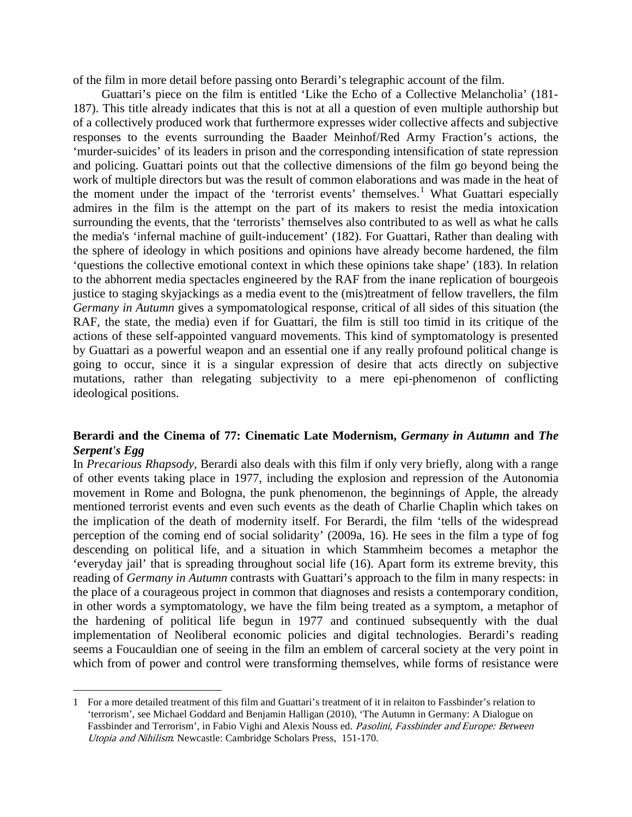of the film in more detail before passing onto Berardi's telegraphic account of the film.

Guattari's piece on the film is entitled 'Like the Echo of a Collective Melancholia' (181- 187). This title already indicates that this is not at all a question of even multiple authorship but of a collectively produced work that furthermore expresses wider collective affects and subjective responses to the events surrounding the Baader Meinhof/Red Army Fraction's actions, the 'murder-suicides' of its leaders in prison and the corresponding intensification of state repression and policing. Guattari points out that the collective dimensions of the film go beyond being the work of multiple directors but was the result of common elaborations and was made in the heat of the moment under the impact of the 'terrorist events' themselves.<sup>[1](#page-4-0)</sup> What Guattari especially admires in the film is the attempt on the part of its makers to resist the media intoxication surrounding the events, that the 'terrorists' themselves also contributed to as well as what he calls the media's 'infernal machine of guilt-inducement' (182). For Guattari, Rather than dealing with the sphere of ideology in which positions and opinions have already become hardened, the film 'questions the collective emotional context in which these opinions take shape' (183). In relation to the abhorrent media spectacles engineered by the RAF from the inane replication of bourgeois justice to staging skyjackings as a media event to the (mis)treatment of fellow travellers, the film *Germany in Autumn* gives a sympomatological response, critical of all sides of this situation (the RAF, the state, the media) even if for Guattari, the film is still too timid in its critique of the actions of these self-appointed vanguard movements. This kind of symptomatology is presented by Guattari as a powerful weapon and an essential one if any really profound political change is going to occur, since it is a singular expression of desire that acts directly on subjective mutations, rather than relegating subjectivity to a mere epi-phenomenon of conflicting ideological positions.

# **Berardi and the Cinema of 77: Cinematic Late Modernism,** *Germany in Autumn* **and** *The Serpent's Egg*

In *Precarious Rhapsody,* Berardi also deals with this film if only very briefly, along with a range of other events taking place in 1977, including the explosion and repression of the Autonomia movement in Rome and Bologna, the punk phenomenon, the beginnings of Apple, the already mentioned terrorist events and even such events as the death of Charlie Chaplin which takes on the implication of the death of modernity itself. For Berardi, the film 'tells of the widespread perception of the coming end of social solidarity' (2009a, 16). He sees in the film a type of fog descending on political life, and a situation in which Stammheim becomes a metaphor the 'everyday jail' that is spreading throughout social life (16). Apart form its extreme brevity, this reading of *Germany in Autumn* contrasts with Guattari's approach to the film in many respects: in the place of a courageous project in common that diagnoses and resists a contemporary condition, in other words a symptomatology, we have the film being treated as a symptom, a metaphor of the hardening of political life begun in 1977 and continued subsequently with the dual implementation of Neoliberal economic policies and digital technologies. Berardi's reading seems a Foucauldian one of seeing in the film an emblem of carceral society at the very point in which from of power and control were transforming themselves, while forms of resistance were

 $\overline{a}$ 

<span id="page-4-0"></span><sup>1</sup> For a more detailed treatment of this film and Guattari's treatment of it in relaiton to Fassbinder's relation to 'terrorism', see Michael Goddard and Benjamin Halligan (2010), 'The Autumn in Germany: A Dialogue on Fassbinder and Terrorism', in Fabio Vighi and Alexis Nouss ed. Pasolini, Fassbinder and Europe: Between Utopia and Nihilism. Newcastle: Cambridge Scholars Press, 151-170.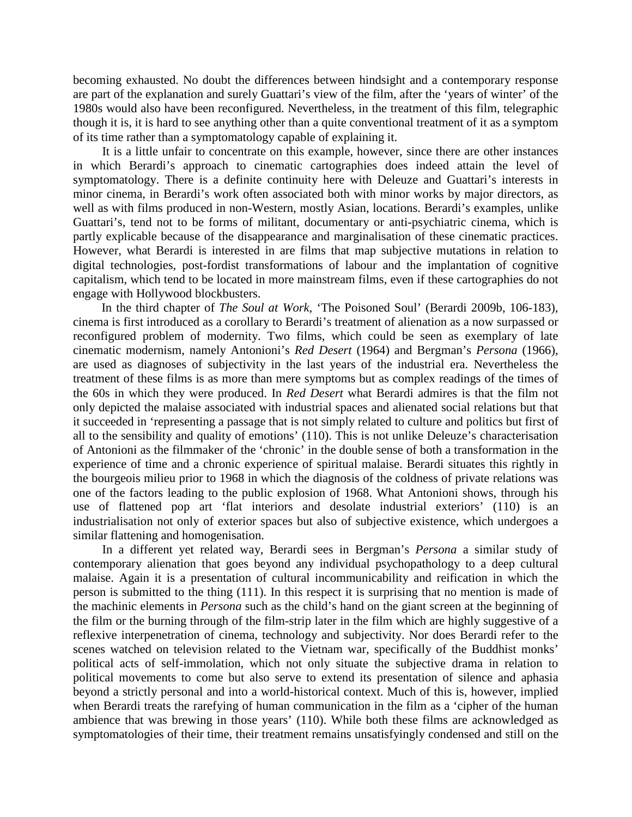becoming exhausted. No doubt the differences between hindsight and a contemporary response are part of the explanation and surely Guattari's view of the film, after the 'years of winter' of the 1980s would also have been reconfigured. Nevertheless, in the treatment of this film, telegraphic though it is, it is hard to see anything other than a quite conventional treatment of it as a symptom of its time rather than a symptomatology capable of explaining it.

It is a little unfair to concentrate on this example, however, since there are other instances in which Berardi's approach to cinematic cartographies does indeed attain the level of symptomatology. There is a definite continuity here with Deleuze and Guattari's interests in minor cinema, in Berardi's work often associated both with minor works by major directors, as well as with films produced in non-Western, mostly Asian, locations. Berardi's examples, unlike Guattari's, tend not to be forms of militant, documentary or anti-psychiatric cinema, which is partly explicable because of the disappearance and marginalisation of these cinematic practices. However, what Berardi is interested in are films that map subjective mutations in relation to digital technologies, post-fordist transformations of labour and the implantation of cognitive capitalism, which tend to be located in more mainstream films, even if these cartographies do not engage with Hollywood blockbusters.

In the third chapter of *The Soul at Work,* 'The Poisoned Soul' (Berardi 2009b, 106-183), cinema is first introduced as a corollary to Berardi's treatment of alienation as a now surpassed or reconfigured problem of modernity. Two films, which could be seen as exemplary of late cinematic modernism, namely Antonioni's *Red Desert* (1964) and Bergman's *Persona* (1966)*,*  are used as diagnoses of subjectivity in the last years of the industrial era. Nevertheless the treatment of these films is as more than mere symptoms but as complex readings of the times of the 60s in which they were produced. In *Red Desert* what Berardi admires is that the film not only depicted the malaise associated with industrial spaces and alienated social relations but that it succeeded in 'representing a passage that is not simply related to culture and politics but first of all to the sensibility and quality of emotions' (110). This is not unlike Deleuze's characterisation of Antonioni as the filmmaker of the 'chronic' in the double sense of both a transformation in the experience of time and a chronic experience of spiritual malaise. Berardi situates this rightly in the bourgeois milieu prior to 1968 in which the diagnosis of the coldness of private relations was one of the factors leading to the public explosion of 1968. What Antonioni shows, through his use of flattened pop art 'flat interiors' and desolate industrial exteriors' (110) is an industrialisation not only of exterior spaces but also of subjective existence, which undergoes a similar flattening and homogenisation.

In a different yet related way, Berardi sees in Bergman's *Persona* a similar study of contemporary alienation that goes beyond any individual psychopathology to a deep cultural malaise. Again it is a presentation of cultural incommunicability and reification in which the person is submitted to the thing (111). In this respect it is surprising that no mention is made of the machinic elements in *Persona* such as the child's hand on the giant screen at the beginning of the film or the burning through of the film-strip later in the film which are highly suggestive of a reflexive interpenetration of cinema, technology and subjectivity. Nor does Berardi refer to the scenes watched on television related to the Vietnam war, specifically of the Buddhist monks' political acts of self-immolation, which not only situate the subjective drama in relation to political movements to come but also serve to extend its presentation of silence and aphasia beyond a strictly personal and into a world-historical context. Much of this is, however, implied when Berardi treats the rarefying of human communication in the film as a 'cipher of the human ambience that was brewing in those years' (110). While both these films are acknowledged as symptomatologies of their time, their treatment remains unsatisfyingly condensed and still on the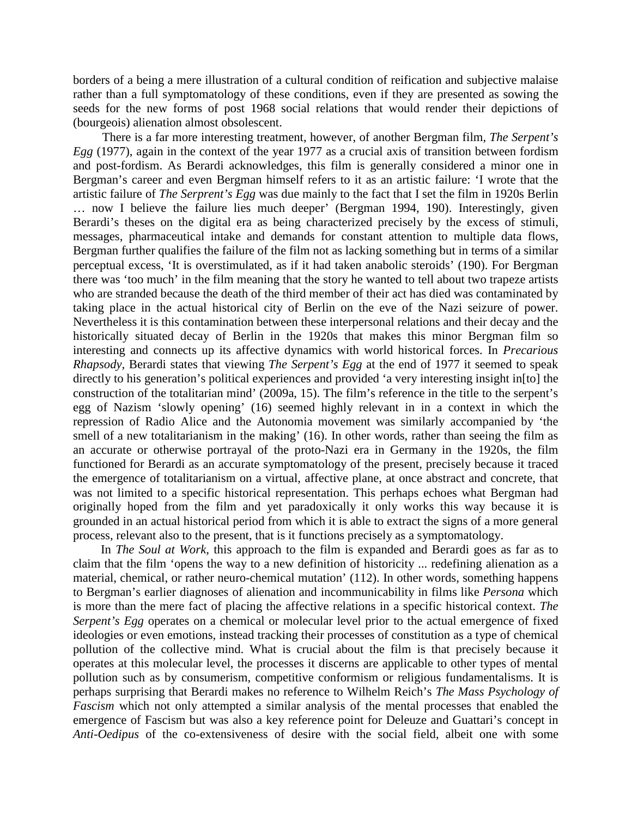borders of a being a mere illustration of a cultural condition of reification and subjective malaise rather than a full symptomatology of these conditions, even if they are presented as sowing the seeds for the new forms of post 1968 social relations that would render their depictions of (bourgeois) alienation almost obsolescent.

There is a far more interesting treatment, however, of another Bergman film, *The Serpent's Egg* (1977), again in the context of the year 1977 as a crucial axis of transition between fordism and post-fordism. As Berardi acknowledges, this film is generally considered a minor one in Bergman's career and even Bergman himself refers to it as an artistic failure: 'I wrote that the artistic failure of *The Serprent's Egg* was due mainly to the fact that I set the film in 1920s Berlin … now I believe the failure lies much deeper' (Bergman 1994, 190). Interestingly, given Berardi's theses on the digital era as being characterized precisely by the excess of stimuli, messages, pharmaceutical intake and demands for constant attention to multiple data flows, Bergman further qualifies the failure of the film not as lacking something but in terms of a similar perceptual excess, 'It is overstimulated, as if it had taken anabolic steroids' (190). For Bergman there was 'too much' in the film meaning that the story he wanted to tell about two trapeze artists who are stranded because the death of the third member of their act has died was contaminated by taking place in the actual historical city of Berlin on the eve of the Nazi seizure of power. Nevertheless it is this contamination between these interpersonal relations and their decay and the historically situated decay of Berlin in the 1920s that makes this minor Bergman film so interesting and connects up its affective dynamics with world historical forces. In *Precarious Rhapsody,* Berardi states that viewing *The Serpent's Egg* at the end of 1977 it seemed to speak directly to his generation's political experiences and provided 'a very interesting insight in[to] the construction of the totalitarian mind' (2009a, 15). The film's reference in the title to the serpent's egg of Nazism 'slowly opening' (16) seemed highly relevant in in a context in which the repression of Radio Alice and the Autonomia movement was similarly accompanied by 'the smell of a new totalitarianism in the making' (16). In other words, rather than seeing the film as an accurate or otherwise portrayal of the proto-Nazi era in Germany in the 1920s, the film functioned for Berardi as an accurate symptomatology of the present, precisely because it traced the emergence of totalitarianism on a virtual, affective plane, at once abstract and concrete, that was not limited to a specific historical representation. This perhaps echoes what Bergman had originally hoped from the film and yet paradoxically it only works this way because it is grounded in an actual historical period from which it is able to extract the signs of a more general process, relevant also to the present, that is it functions precisely as a symptomatology.

In *The Soul at Work,* this approach to the film is expanded and Berardi goes as far as to claim that the film 'opens the way to a new definition of historicity ... redefining alienation as a material, chemical, or rather neuro-chemical mutation' (112). In other words, something happens to Bergman's earlier diagnoses of alienation and incommunicability in films like *Persona* which is more than the mere fact of placing the affective relations in a specific historical context. *The Serpent's Egg* operates on a chemical or molecular level prior to the actual emergence of fixed ideologies or even emotions, instead tracking their processes of constitution as a type of chemical pollution of the collective mind. What is crucial about the film is that precisely because it operates at this molecular level, the processes it discerns are applicable to other types of mental pollution such as by consumerism, competitive conformism or religious fundamentalisms. It is perhaps surprising that Berardi makes no reference to Wilhelm Reich's *The Mass Psychology of Fascism* which not only attempted a similar analysis of the mental processes that enabled the emergence of Fascism but was also a key reference point for Deleuze and Guattari's concept in *Anti-Oedipus* of the co-extensiveness of desire with the social field, albeit one with some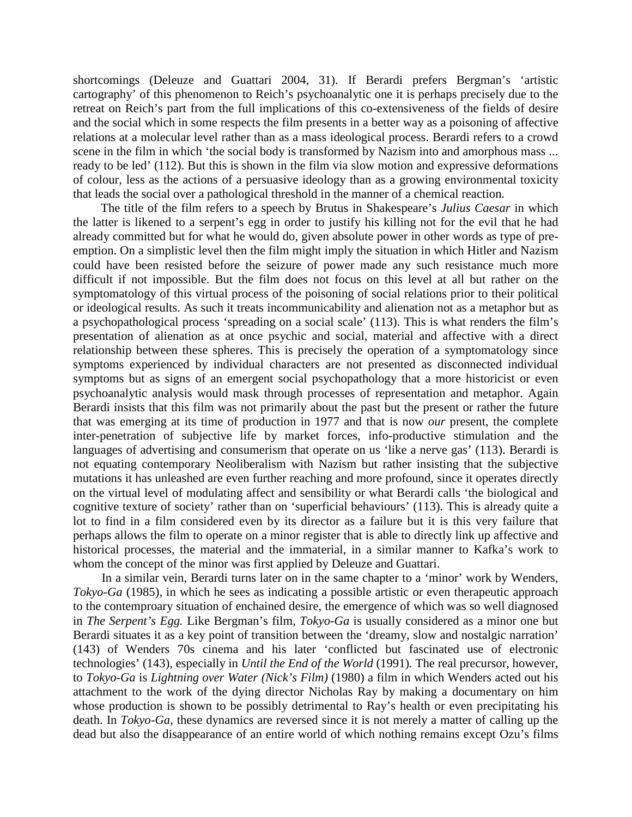shortcomings (Deleuze and Guattari 2004, 31). If Berardi prefers Bergman's 'artistic cartography' of this phenomenon to Reich's psychoanalytic one it is perhaps precisely due to the retreat on Reich's part from the full implications of this co-extensiveness of the fields of desire and the social which in some respects the film presents in a better way as a poisoning of affective relations at a molecular level rather than as a mass ideological process. Berardi refers to a crowd scene in the film in which 'the social body is transformed by Nazism into and amorphous mass ... ready to be led' (112). But this is shown in the film via slow motion and expressive deformations of colour, less as the actions of a persuasive ideology than as a growing environmental toxicity that leads the social over a pathological threshold in the manner of a chemical reaction.

The title of the film refers to a speech by Brutus in Shakespeare's *Julius Caesar* in which the latter is likened to a serpent's egg in order to justify his killing not for the evil that he had already committed but for what he would do, given absolute power in other words as type of preemption. On a simplistic level then the film might imply the situation in which Hitler and Nazism could have been resisted before the seizure of power made any such resistance much more difficult if not impossible. But the film does not focus on this level at all but rather on the symptomatology of this virtual process of the poisoning of social relations prior to their political or ideological results. As such it treats incommunicability and alienation not as a metaphor but as a psychopathological process 'spreading on a social scale' (113). This is what renders the film's presentation of alienation as at once psychic and social, material and affective with a direct relationship between these spheres. This is precisely the operation of a symptomatology since symptoms experienced by individual characters are not presented as disconnected individual symptoms but as signs of an emergent social psychopathology that a more historicist or even psychoanalytic analysis would mask through processes of representation and metaphor. Again Berardi insists that this film was not primarily about the past but the present or rather the future that was emerging at its time of production in 1977 and that is now *our* present, the complete inter-penetration of subjective life by market forces, info-productive stimulation and the languages of advertising and consumerism that operate on us 'like a nerve gas' (113). Berardi is not equating contemporary Neoliberalism with Nazism but rather insisting that the subjective mutations it has unleashed are even further reaching and more profound, since it operates directly on the virtual level of modulating affect and sensibility or what Berardi calls 'the biological and cognitive texture of society' rather than on 'superficial behaviours' (113). This is already quite a lot to find in a film considered even by its director as a failure but it is this very failure that perhaps allows the film to operate on a minor register that is able to directly link up affective and historical processes, the material and the immaterial, in a similar manner to Kafka's work to whom the concept of the minor was first applied by Deleuze and Guattari.

In a similar vein, Berardi turns later on in the same chapter to a 'minor' work by Wenders, *Tokyo-Ga* (1985)*,* in which he sees as indicating a possible artistic or even therapeutic approach to the contemproary situation of enchained desire, the emergence of which was so well diagnosed in *The Serpent's Egg.* Like Bergman's film, *Tokyo-Ga* is usually considered as a minor one but Berardi situates it as a key point of transition between the 'dreamy, slow and nostalgic narration' (143) of Wenders 70s cinema and his later 'conflicted but fascinated use of electronic technologies' (143), especially in *Until the End of the World* (1991)*.* The real precursor, however, to *Tokyo-Ga* is *Lightning over Water (Nick's Film)* (1980) a film in which Wenders acted out his attachment to the work of the dying director Nicholas Ray by making a documentary on him whose production is shown to be possibly detrimental to Ray's health or even precipitating his death. In *Tokyo-Ga*, these dynamics are reversed since it is not merely a matter of calling up the dead but also the disappearance of an entire world of which nothing remains except Ozu's films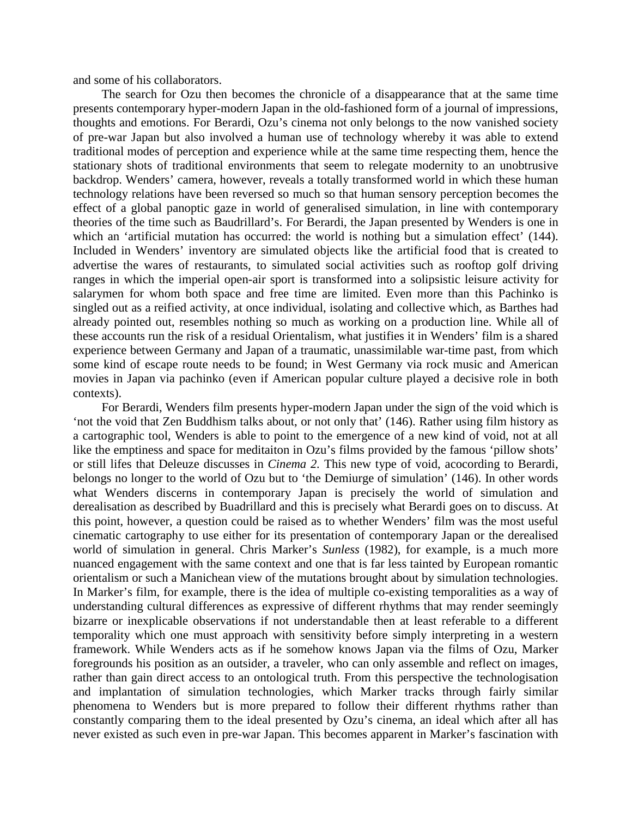and some of his collaborators.

The search for Ozu then becomes the chronicle of a disappearance that at the same time presents contemporary hyper-modern Japan in the old-fashioned form of a journal of impressions, thoughts and emotions. For Berardi, Ozu's cinema not only belongs to the now vanished society of pre-war Japan but also involved a human use of technology whereby it was able to extend traditional modes of perception and experience while at the same time respecting them, hence the stationary shots of traditional environments that seem to relegate modernity to an unobtrusive backdrop. Wenders' camera, however, reveals a totally transformed world in which these human technology relations have been reversed so much so that human sensory perception becomes the effect of a global panoptic gaze in world of generalised simulation, in line with contemporary theories of the time such as Baudrillard's. For Berardi, the Japan presented by Wenders is one in which an 'artificial mutation has occurred: the world is nothing but a simulation effect' (144). Included in Wenders' inventory are simulated objects like the artificial food that is created to advertise the wares of restaurants, to simulated social activities such as rooftop golf driving ranges in which the imperial open-air sport is transformed into a solipsistic leisure activity for salarymen for whom both space and free time are limited. Even more than this Pachinko is singled out as a reified activity, at once individual, isolating and collective which, as Barthes had already pointed out, resembles nothing so much as working on a production line. While all of these accounts run the risk of a residual Orientalism, what justifies it in Wenders' film is a shared experience between Germany and Japan of a traumatic, unassimilable war-time past, from which some kind of escape route needs to be found; in West Germany via rock music and American movies in Japan via pachinko (even if American popular culture played a decisive role in both contexts).

For Berardi, Wenders film presents hyper-modern Japan under the sign of the void which is 'not the void that Zen Buddhism talks about, or not only that' (146). Rather using film history as a cartographic tool, Wenders is able to point to the emergence of a new kind of void, not at all like the emptiness and space for meditaiton in Ozu's films provided by the famous 'pillow shots' or still lifes that Deleuze discusses in *Cinema 2.* This new type of void, acocording to Berardi, belongs no longer to the world of Ozu but to 'the Demiurge of simulation' (146). In other words what Wenders discerns in contemporary Japan is precisely the world of simulation and derealisation as described by Buadrillard and this is precisely what Berardi goes on to discuss. At this point, however, a question could be raised as to whether Wenders' film was the most useful cinematic cartography to use either for its presentation of contemporary Japan or the derealised world of simulation in general. Chris Marker's *Sunless* (1982), for example, is a much more nuanced engagement with the same context and one that is far less tainted by European romantic orientalism or such a Manichean view of the mutations brought about by simulation technologies. In Marker's film, for example, there is the idea of multiple co-existing temporalities as a way of understanding cultural differences as expressive of different rhythms that may render seemingly bizarre or inexplicable observations if not understandable then at least referable to a different temporality which one must approach with sensitivity before simply interpreting in a western framework. While Wenders acts as if he somehow knows Japan via the films of Ozu, Marker foregrounds his position as an outsider, a traveler, who can only assemble and reflect on images, rather than gain direct access to an ontological truth. From this perspective the technologisation and implantation of simulation technologies, which Marker tracks through fairly similar phenomena to Wenders but is more prepared to follow their different rhythms rather than constantly comparing them to the ideal presented by Ozu's cinema, an ideal which after all has never existed as such even in pre-war Japan. This becomes apparent in Marker's fascination with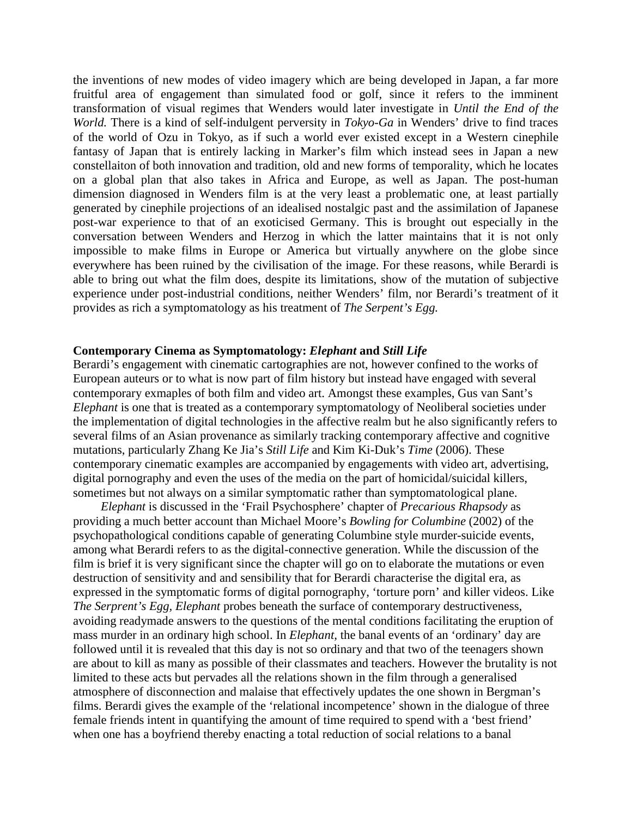the inventions of new modes of video imagery which are being developed in Japan, a far more fruitful area of engagement than simulated food or golf, since it refers to the imminent transformation of visual regimes that Wenders would later investigate in *Until the End of the World.* There is a kind of self-indulgent perversity in *Tokyo-Ga* in Wenders' drive to find traces of the world of Ozu in Tokyo, as if such a world ever existed except in a Western cinephile fantasy of Japan that is entirely lacking in Marker's film which instead sees in Japan a new constellaiton of both innovation and tradition, old and new forms of temporality, which he locates on a global plan that also takes in Africa and Europe, as well as Japan. The post-human dimension diagnosed in Wenders film is at the very least a problematic one, at least partially generated by cinephile projections of an idealised nostalgic past and the assimilation of Japanese post-war experience to that of an exoticised Germany. This is brought out especially in the conversation between Wenders and Herzog in which the latter maintains that it is not only impossible to make films in Europe or America but virtually anywhere on the globe since everywhere has been ruined by the civilisation of the image. For these reasons, while Berardi is able to bring out what the film does, despite its limitations, show of the mutation of subjective experience under post-industrial conditions, neither Wenders' film, nor Berardi's treatment of it provides as rich a symptomatology as his treatment of *The Serpent's Egg.*

## **Contemporary Cinema as Symptomatology:** *Elephant* **and** *Still Life*

Berardi's engagement with cinematic cartographies are not, however confined to the works of European auteurs or to what is now part of film history but instead have engaged with several contemporary exmaples of both film and video art. Amongst these examples, Gus van Sant's *Elephant* is one that is treated as a contemporary symptomatology of Neoliberal societies under the implementation of digital technologies in the affective realm but he also significantly refers to several films of an Asian provenance as similarly tracking contemporary affective and cognitive mutations, particularly Zhang Ke Jia's *Still Life* and Kim Ki-Duk's *Time* (2006). These contemporary cinematic examples are accompanied by engagements with video art, advertising, digital pornography and even the uses of the media on the part of homicidal/suicidal killers, sometimes but not always on a similar symptomatic rather than symptomatological plane.

*Elephant* is discussed in the 'Frail Psychosphere' chapter of *Precarious Rhapsody* as providing a much better account than Michael Moore's *Bowling for Columbine* (2002) of the psychopathological conditions capable of generating Columbine style murder-suicide events, among what Berardi refers to as the digital-connective generation. While the discussion of the film is brief it is very significant since the chapter will go on to elaborate the mutations or even destruction of sensitivity and and sensibility that for Berardi characterise the digital era, as expressed in the symptomatic forms of digital pornography, 'torture porn' and killer videos. Like *The Serprent's Egg, Elephant* probes beneath the surface of contemporary destructiveness, avoiding readymade answers to the questions of the mental conditions facilitating the eruption of mass murder in an ordinary high school. In *Elephant,* the banal events of an 'ordinary' day are followed until it is revealed that this day is not so ordinary and that two of the teenagers shown are about to kill as many as possible of their classmates and teachers. However the brutality is not limited to these acts but pervades all the relations shown in the film through a generalised atmosphere of disconnection and malaise that effectively updates the one shown in Bergman's films. Berardi gives the example of the 'relational incompetence' shown in the dialogue of three female friends intent in quantifying the amount of time required to spend with a 'best friend' when one has a boyfriend thereby enacting a total reduction of social relations to a banal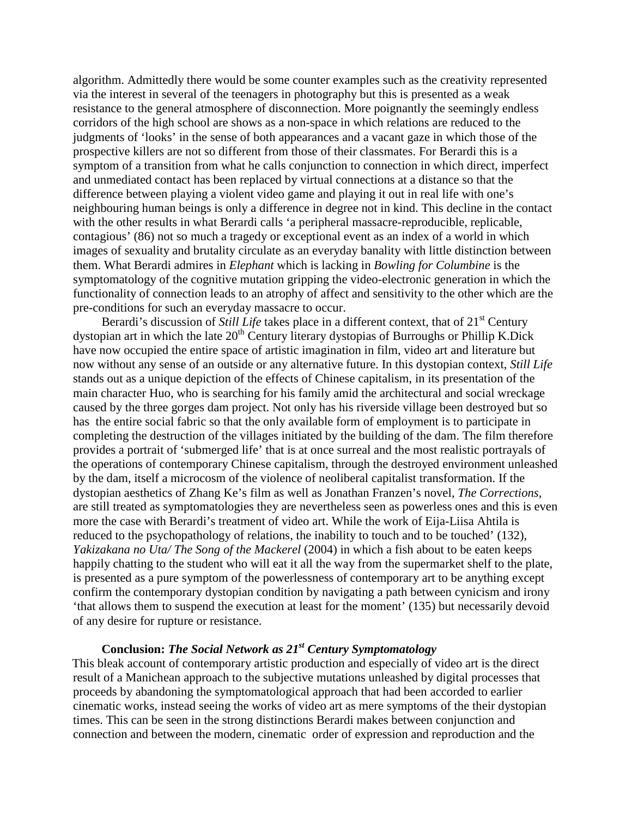algorithm. Admittedly there would be some counter examples such as the creativity represented via the interest in several of the teenagers in photography but this is presented as a weak resistance to the general atmosphere of disconnection. More poignantly the seemingly endless corridors of the high school are shows as a non-space in which relations are reduced to the judgments of 'looks' in the sense of both appearances and a vacant gaze in which those of the prospective killers are not so different from those of their classmates. For Berardi this is a symptom of a transition from what he calls conjunction to connection in which direct, imperfect and unmediated contact has been replaced by virtual connections at a distance so that the difference between playing a violent video game and playing it out in real life with one's neighbouring human beings is only a difference in degree not in kind. This decline in the contact with the other results in what Berardi calls 'a peripheral massacre-reproducible, replicable, contagious' (86) not so much a tragedy or exceptional event as an index of a world in which images of sexuality and brutality circulate as an everyday banality with little distinction between them. What Berardi admires in *Elephant* which is lacking in *Bowling for Columbine* is the symptomatology of the cognitive mutation gripping the video-electronic generation in which the functionality of connection leads to an atrophy of affect and sensitivity to the other which are the pre-conditions for such an everyday massacre to occur.

Berardi's discussion of *Still Life* takes place in a different context, that of 21<sup>st</sup> Century dystopian art in which the late  $20<sup>th</sup>$  Century literary dystopias of Burroughs or Phillip K.Dick have now occupied the entire space of artistic imagination in film, video art and literature but now without any sense of an outside or any alternative future. In this dystopian context, *Still Life*  stands out as a unique depiction of the effects of Chinese capitalism, in its presentation of the main character Huo, who is searching for his family amid the architectural and social wreckage caused by the three gorges dam project. Not only has his riverside village been destroyed but so has the entire social fabric so that the only available form of employment is to participate in completing the destruction of the villages initiated by the building of the dam. The film therefore provides a portrait of 'submerged life' that is at once surreal and the most realistic portrayals of the operations of contemporary Chinese capitalism, through the destroyed environment unleashed by the dam, itself a microcosm of the violence of neoliberal capitalist transformation. If the dystopian aesthetics of Zhang Ke's film as well as Jonathan Franzen's novel, *The Corrections,*  are still treated as symptomatologies they are nevertheless seen as powerless ones and this is even more the case with Berardi's treatment of video art. While the work of Eija-Liisa Ahtila is reduced to the psychopathology of relations, the inability to touch and to be touched' (132), *Yakizakana no Uta/ The Song of the Mackerel* (2004) in which a fish about to be eaten keeps happily chatting to the student who will eat it all the way from the supermarket shelf to the plate, is presented as a pure symptom of the powerlessness of contemporary art to be anything except confirm the contemporary dystopian condition by navigating a path between cynicism and irony 'that allows them to suspend the execution at least for the moment' (135) but necessarily devoid of any desire for rupture or resistance.

## **Conclusion:** *The Social Network as 21st Century Symptomatology*

This bleak account of contemporary artistic production and especially of video art is the direct result of a Manichean approach to the subjective mutations unleashed by digital processes that proceeds by abandoning the symptomatological approach that had been accorded to earlier cinematic works, instead seeing the works of video art as mere symptoms of the their dystopian times. This can be seen in the strong distinctions Berardi makes between conjunction and connection and between the modern, cinematic order of expression and reproduction and the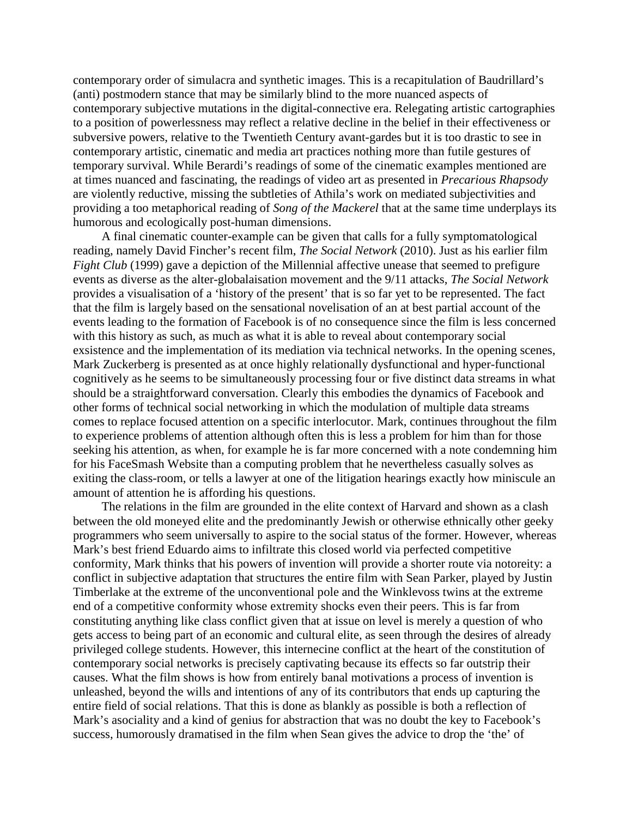contemporary order of simulacra and synthetic images. This is a recapitulation of Baudrillard's (anti) postmodern stance that may be similarly blind to the more nuanced aspects of contemporary subjective mutations in the digital-connective era. Relegating artistic cartographies to a position of powerlessness may reflect a relative decline in the belief in their effectiveness or subversive powers, relative to the Twentieth Century avant-gardes but it is too drastic to see in contemporary artistic, cinematic and media art practices nothing more than futile gestures of temporary survival. While Berardi's readings of some of the cinematic examples mentioned are at times nuanced and fascinating, the readings of video art as presented in *Precarious Rhapsody*  are violently reductive, missing the subtleties of Athila's work on mediated subjectivities and providing a too metaphorical reading of *Song of the Mackerel* that at the same time underplays its humorous and ecologically post-human dimensions.

A final cinematic counter-example can be given that calls for a fully symptomatological reading, namely David Fincher's recent film, *The Social Network* (2010). Just as his earlier film *Fight Club* (1999) gave a depiction of the Millennial affective unease that seemed to prefigure events as diverse as the alter-globalaisation movement and the 9/11 attacks, *The Social Network*  provides a visualisation of a 'history of the present' that is so far yet to be represented. The fact that the film is largely based on the sensational novelisation of an at best partial account of the events leading to the formation of Facebook is of no consequence since the film is less concerned with this history as such, as much as what it is able to reveal about contemporary social exsistence and the implementation of its mediation via technical networks. In the opening scenes, Mark Zuckerberg is presented as at once highly relationally dysfunctional and hyper-functional cognitively as he seems to be simultaneously processing four or five distinct data streams in what should be a straightforward conversation. Clearly this embodies the dynamics of Facebook and other forms of technical social networking in which the modulation of multiple data streams comes to replace focused attention on a specific interlocutor. Mark, continues throughout the film to experience problems of attention although often this is less a problem for him than for those seeking his attention, as when, for example he is far more concerned with a note condemning him for his FaceSmash Website than a computing problem that he nevertheless casually solves as exiting the class-room, or tells a lawyer at one of the litigation hearings exactly how miniscule an amount of attention he is affording his questions.

The relations in the film are grounded in the elite context of Harvard and shown as a clash between the old moneyed elite and the predominantly Jewish or otherwise ethnically other geeky programmers who seem universally to aspire to the social status of the former. However, whereas Mark's best friend Eduardo aims to infiltrate this closed world via perfected competitive conformity, Mark thinks that his powers of invention will provide a shorter route via notoreity: a conflict in subjective adaptation that structures the entire film with Sean Parker, played by Justin Timberlake at the extreme of the unconventional pole and the Winklevoss twins at the extreme end of a competitive conformity whose extremity shocks even their peers. This is far from constituting anything like class conflict given that at issue on level is merely a question of who gets access to being part of an economic and cultural elite, as seen through the desires of already privileged college students. However, this internecine conflict at the heart of the constitution of contemporary social networks is precisely captivating because its effects so far outstrip their causes. What the film shows is how from entirely banal motivations a process of invention is unleashed, beyond the wills and intentions of any of its contributors that ends up capturing the entire field of social relations. That this is done as blankly as possible is both a reflection of Mark's asociality and a kind of genius for abstraction that was no doubt the key to Facebook's success, humorously dramatised in the film when Sean gives the advice to drop the 'the' of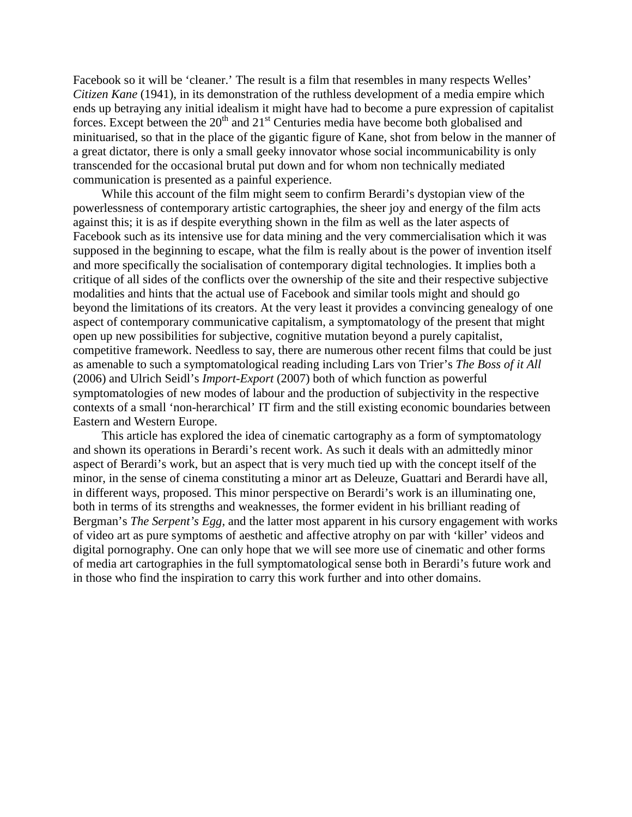Facebook so it will be 'cleaner.' The result is a film that resembles in many respects Welles' *Citizen Kane* (1941)*,* in its demonstration of the ruthless development of a media empire which ends up betraying any initial idealism it might have had to become a pure expression of capitalist forces. Except between the  $20<sup>th</sup>$  and  $21<sup>st</sup>$  Centuries media have become both globalised and minituarised, so that in the place of the gigantic figure of Kane, shot from below in the manner of a great dictator, there is only a small geeky innovator whose social incommunicability is only transcended for the occasional brutal put down and for whom non technically mediated communication is presented as a painful experience.

While this account of the film might seem to confirm Berardi's dystopian view of the powerlessness of contemporary artistic cartographies, the sheer joy and energy of the film acts against this; it is as if despite everything shown in the film as well as the later aspects of Facebook such as its intensive use for data mining and the very commercialisation which it was supposed in the beginning to escape, what the film is really about is the power of invention itself and more specifically the socialisation of contemporary digital technologies. It implies both a critique of all sides of the conflicts over the ownership of the site and their respective subjective modalities and hints that the actual use of Facebook and similar tools might and should go beyond the limitations of its creators. At the very least it provides a convincing genealogy of one aspect of contemporary communicative capitalism, a symptomatology of the present that might open up new possibilities for subjective, cognitive mutation beyond a purely capitalist, competitive framework. Needless to say, there are numerous other recent films that could be just as amenable to such a symptomatological reading including Lars von Trier's *The Boss of it All*  (2006) and Ulrich Seidl's *Import-Export* (2007) both of which function as powerful symptomatologies of new modes of labour and the production of subjectivity in the respective contexts of a small 'non-herarchical' IT firm and the still existing economic boundaries between Eastern and Western Europe.

This article has explored the idea of cinematic cartography as a form of symptomatology and shown its operations in Berardi's recent work. As such it deals with an admittedly minor aspect of Berardi's work, but an aspect that is very much tied up with the concept itself of the minor, in the sense of cinema constituting a minor art as Deleuze, Guattari and Berardi have all, in different ways, proposed. This minor perspective on Berardi's work is an illuminating one, both in terms of its strengths and weaknesses, the former evident in his brilliant reading of Bergman's *The Serpent's Egg,* and the latter most apparent in his cursory engagement with works of video art as pure symptoms of aesthetic and affective atrophy on par with 'killer' videos and digital pornography. One can only hope that we will see more use of cinematic and other forms of media art cartographies in the full symptomatological sense both in Berardi's future work and in those who find the inspiration to carry this work further and into other domains.